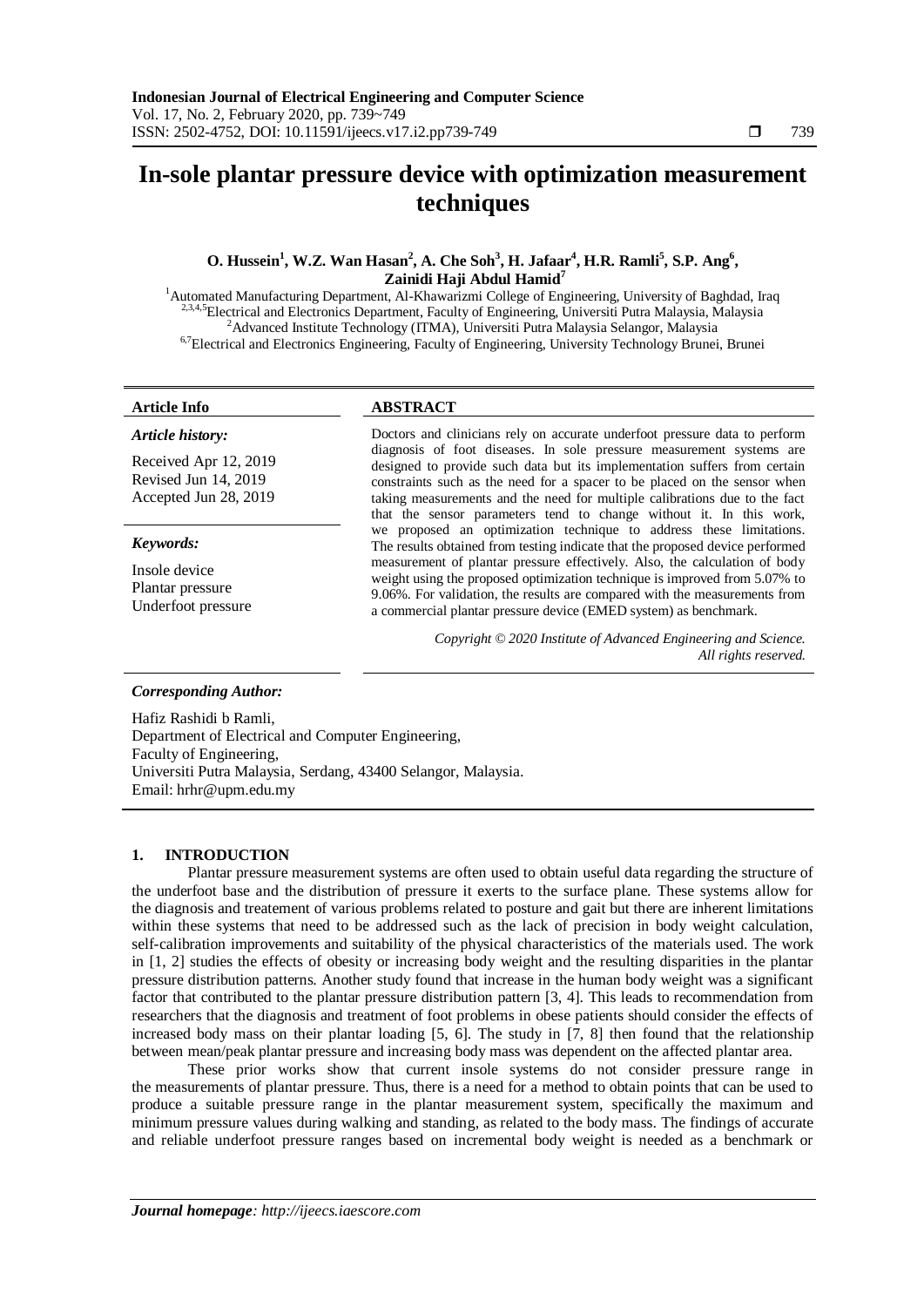# **In-sole plantar pressure device with optimization measurement techniques**

# **O. Hussein<sup>1</sup> , W.Z. Wan Hasan<sup>2</sup> , A. Che Soh<sup>3</sup> , H. Jafaar<sup>4</sup> , H.R. Ramli<sup>5</sup> , S.P. Ang<sup>6</sup> , Zainidi Haji Abdul Hamid<sup>7</sup>**

<sup>1</sup>Automated Manufacturing Department, Al-Khawarizmi College of Engineering, University of Baghdad, Iraq <sup>2,3,4,5</sup>Electrical and Electronics Department, Faculty of Engineering, Universiti Putra Malaysia, Malaysia <sup>2</sup>Advanced Institute Technology (ITMA), Universiti Putra Malaysia Selangor, Malaysia <sup>6,7</sup>Electrical and Electronics Engineering, Faculty of Engineering, University Technology Brunei, Brunei

#### *Article history:*

Received Apr 12, 2019 Revised Jun 14, 2019 Accepted Jun 28, 2019

#### *Keywords:*

Insole device Plantar pressure Underfoot pressure

### **Article Info ABSTRACT**

Doctors and clinicians rely on accurate underfoot pressure data to perform diagnosis of foot diseases. In sole pressure measurement systems are designed to provide such data but its implementation suffers from certain constraints such as the need for a spacer to be placed on the sensor when taking measurements and the need for multiple calibrations due to the fact that the sensor parameters tend to change without it. In this work, we proposed an optimization technique to address these limitations. The results obtained from testing indicate that the proposed device performed measurement of plantar pressure effectively. Also, the calculation of body weight using the proposed optimization technique is improved from 5.07% to 9.06%. For validation, the results are compared with the measurements from a commercial plantar pressure device (EMED system) as benchmark.

> *Copyright © 2020 Institute of Advanced Engineering and Science. All rights reserved.*

#### *Corresponding Author:*

Hafiz Rashidi b Ramli, Department of Electrical and Computer Engineering, Faculty of Engineering, Universiti Putra Malaysia, Serdang, 43400 Selangor, Malaysia. Email: hrhr@upm.edu.my

#### **1. INTRODUCTION**

Plantar pressure measurement systems are often used to obtain useful data regarding the structure of the underfoot base and the distribution of pressure it exerts to the surface plane. These systems allow for the diagnosis and treatement of various problems related to posture and gait but there are inherent limitations within these systems that need to be addressed such as the lack of precision in body weight calculation, self-calibration improvements and suitability of the physical characteristics of the materials used. The work in [1, 2] studies the effects of obesity or increasing body weight and the resulting disparities in the plantar pressure distribution patterns. Another study found that increase in the human body weight was a significant factor that contributed to the plantar pressure distribution pattern [3, 4]. This leads to recommendation from researchers that the diagnosis and treatment of foot problems in obese patients should consider the effects of increased body mass on their plantar loading [5, 6]. The study in [7, 8] then found that the relationship between mean/peak plantar pressure and increasing body mass was dependent on the affected plantar area.

These prior works show that current insole systems do not consider pressure range in the measurements of plantar pressure. Thus, there is a need for a method to obtain points that can be used to produce a suitable pressure range in the plantar measurement system, specifically the maximum and minimum pressure values during walking and standing, as related to the body mass. The findings of accurate and reliable underfoot pressure ranges based on incremental body weight is needed as a benchmark or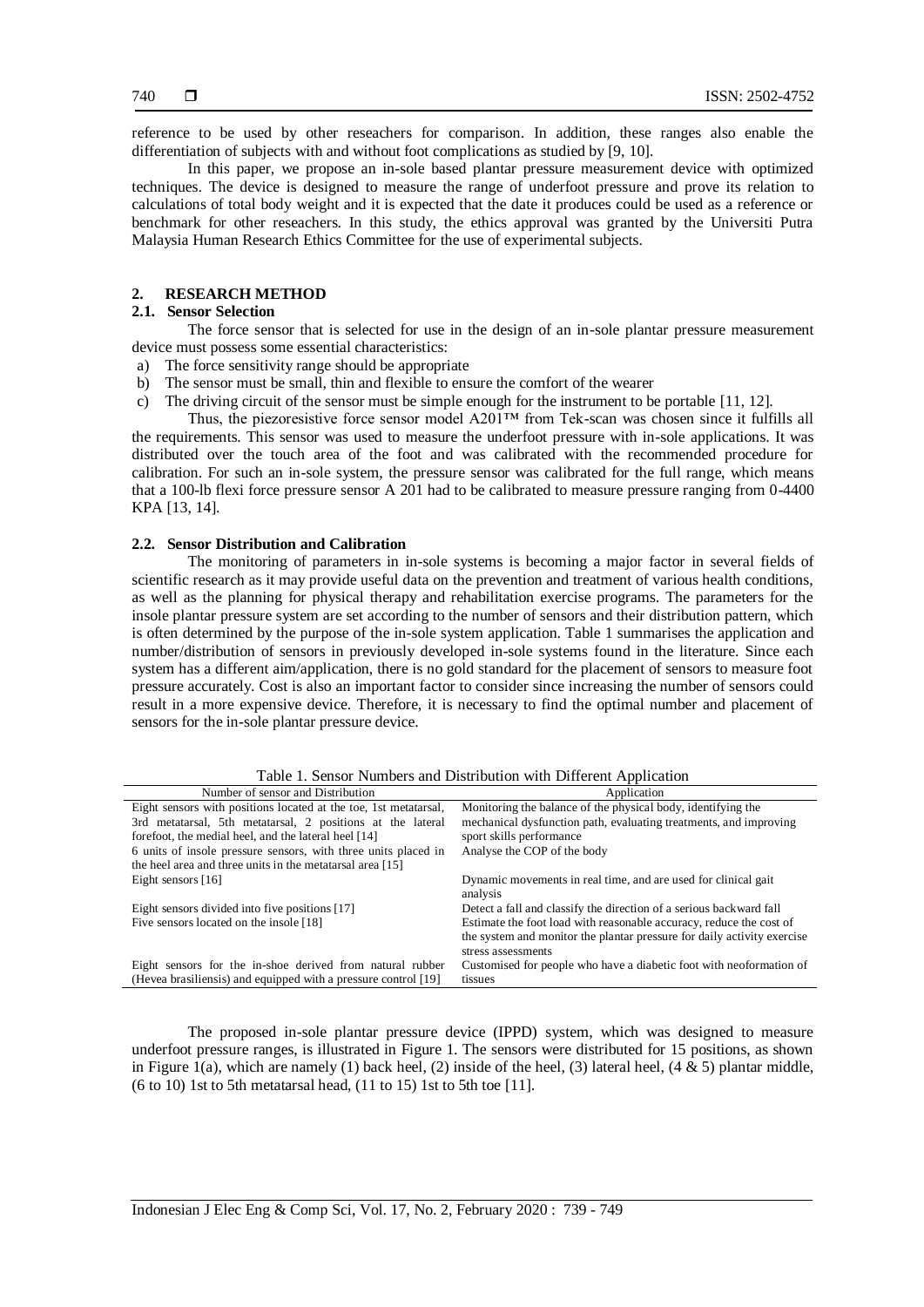reference to be used by other reseachers for comparison. In addition, these ranges also enable the differentiation of subjects with and without foot complications as studied by [9, 10].

In this paper, we propose an in-sole based plantar pressure measurement device with optimized techniques. The device is designed to measure the range of underfoot pressure and prove its relation to calculations of total body weight and it is expected that the date it produces could be used as a reference or benchmark for other reseachers. In this study, the ethics approval was granted by the Universiti Putra Malaysia Human Research Ethics Committee for the use of experimental subjects.

## **2. RESEARCH METHOD**

# **2.1. Sensor Selection**

The force sensor that is selected for use in the design of an in-sole plantar pressure measurement device must possess some essential characteristics:

- a) The force sensitivity range should be appropriate
- b) The sensor must be small, thin and flexible to ensure the comfort of the wearer
- c) The driving circuit of the sensor must be simple enough for the instrument to be portable [11, 12].

Thus, the piezoresistive force sensor model A201<sup>™</sup> from Tek-scan was chosen since it fulfills all the requirements. This sensor was used to measure the underfoot pressure with in-sole applications. It was distributed over the touch area of the foot and was calibrated with the recommended procedure for calibration. For such an in-sole system, the pressure sensor was calibrated for the full range, which means that a 100-lb flexi force pressure sensor A 201 had to be calibrated to measure pressure ranging from 0-4400 KPA [13, 14].

#### **2.2. Sensor Distribution and Calibration**

The monitoring of parameters in in-sole systems is becoming a major factor in several fields of scientific research as it may provide useful data on the prevention and treatment of various health conditions, as well as the planning for physical therapy and rehabilitation exercise programs. The parameters for the insole plantar pressure system are set according to the number of sensors and their distribution pattern, which is often determined by the purpose of the in-sole system application. Table 1 summarises the application and number/distribution of sensors in previously developed in-sole systems found in the literature. Since each system has a different aim/application, there is no gold standard for the placement of sensors to measure foot pressure accurately. Cost is also an important factor to consider since increasing the number of sensors could result in a more expensive device. Therefore, it is necessary to find the optimal number and placement of sensors for the in-sole plantar pressure device.

| Number of sensor and Distribution                                                                                           | Application                                                                                                                                                          |
|-----------------------------------------------------------------------------------------------------------------------------|----------------------------------------------------------------------------------------------------------------------------------------------------------------------|
| Eight sensors with positions located at the toe, 1st metatarsal,                                                            | Monitoring the balance of the physical body, identifying the                                                                                                         |
| 3rd metatarsal, 5th metatarsal, 2 positions at the lateral                                                                  | mechanical dysfunction path, evaluating treatments, and improving                                                                                                    |
| forefoot, the medial heel, and the lateral heel [14]                                                                        | sport skills performance                                                                                                                                             |
| 6 units of insole pressure sensors, with three units placed in                                                              | Analyse the COP of the body                                                                                                                                          |
| the heel area and three units in the metatarsal area [15]                                                                   |                                                                                                                                                                      |
| Eight sensors $[16]$                                                                                                        | Dynamic movements in real time, and are used for clinical gait<br>analysis                                                                                           |
| Eight sensors divided into five positions [17]                                                                              | Detect a fall and classify the direction of a serious backward fall                                                                                                  |
| Five sensors located on the insole [18]                                                                                     | Estimate the foot load with reasonable accuracy, reduce the cost of<br>the system and monitor the plantar pressure for daily activity exercise<br>stress assessments |
| Eight sensors for the in-shoe derived from natural rubber<br>(Hevea brasiliensis) and equipped with a pressure control [19] | Customised for people who have a diabetic foot with neoformation of<br>tissues                                                                                       |

Table 1. Sensor Numbers and Distribution with Different Application

The proposed in-sole plantar pressure device (IPPD) system, which was designed to measure underfoot pressure ranges, is illustrated in Figure 1. The sensors were distributed for 15 positions, as shown in Figure 1(a), which are namely (1) back heel, (2) inside of the heel, (3) lateral heel,  $(4 \& 5)$  plantar middle,  $(6 to 10)$  1st to 5th metatarsal head,  $(11 to 15)$  1st to 5th toe [11].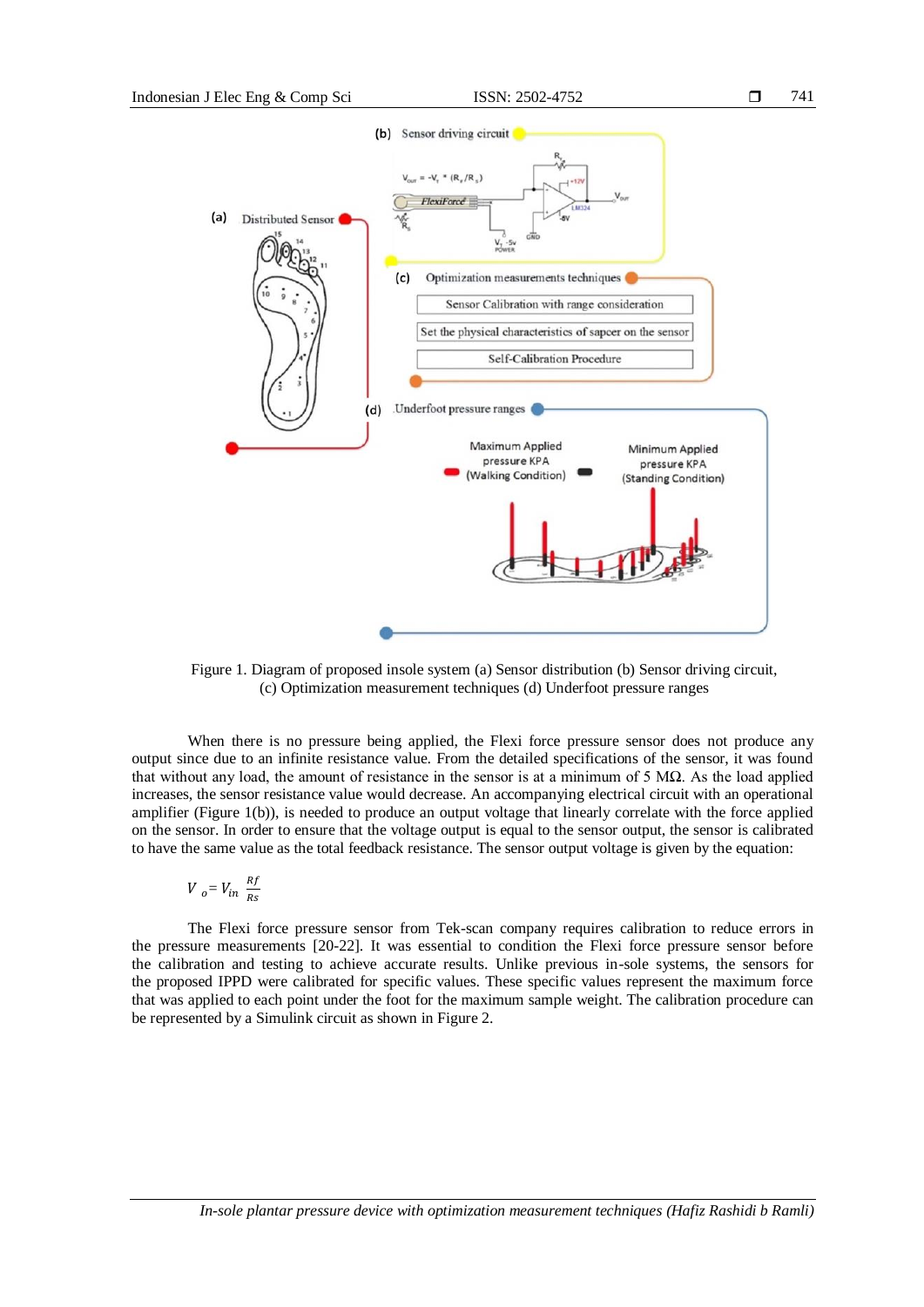

Figure 1. Diagram of proposed insole system (a) Sensor distribution (b) Sensor driving circuit, (c) Optimization measurement techniques (d) Underfoot pressure ranges

When there is no pressure being applied, the Flexi force pressure sensor does not produce any output since due to an infinite resistance value. From the detailed specifications of the sensor, it was found that without any load, the amount of resistance in the sensor is at a minimum of 5  $M\Omega$ . As the load applied increases, the sensor resistance value would decrease. An accompanying electrical circuit with an operational amplifier (Figure 1(b)), is needed to produce an output voltage that linearly correlate with the force applied on the sensor. In order to ensure that the voltage output is equal to the sensor output, the sensor is calibrated to have the same value as the total feedback resistance. The sensor output voltage is given by the equation:

$$
V_{o} = V_{in} \frac{Rf}{Rs}
$$

The Flexi force pressure sensor from Tek-scan company requires calibration to reduce errors in the pressure measurements [20-22]. It was essential to condition the Flexi force pressure sensor before the calibration and testing to achieve accurate results. Unlike previous in-sole systems, the sensors for the proposed IPPD were calibrated for specific values. These specific values represent the maximum force that was applied to each point under the foot for the maximum sample weight. The calibration procedure can be represented by a Simulink circuit as shown in Figure 2.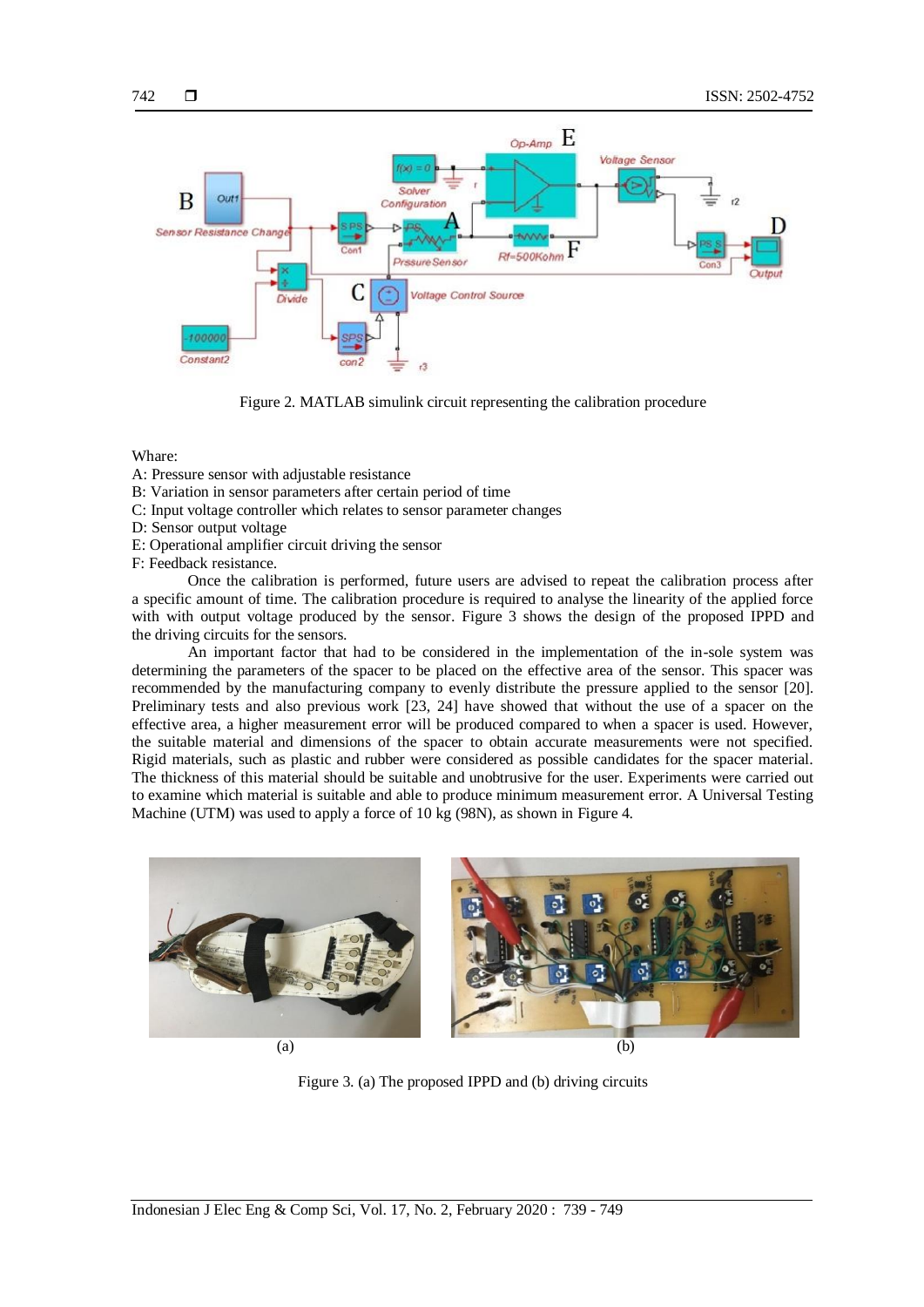

Figure 2. MATLAB simulink circuit representing the calibration procedure

Whare:

- A: Pressure sensor with adjustable resistance
- B: Variation in sensor parameters after certain period of time
- C: Input voltage controller which relates to sensor parameter changes
- D: Sensor output voltage
- E: Operational amplifier circuit driving the sensor
- F: Feedback resistance.

Once the calibration is performed, future users are advised to repeat the calibration process after a specific amount of time. The calibration procedure is required to analyse the linearity of the applied force with with output voltage produced by the sensor. Figure 3 shows the design of the proposed IPPD and the driving circuits for the sensors.

An important factor that had to be considered in the implementation of the in-sole system was determining the parameters of the spacer to be placed on the effective area of the sensor. This spacer was recommended by the manufacturing company to evenly distribute the pressure applied to the sensor [20]. Preliminary tests and also previous work [23, 24] have showed that without the use of a spacer on the effective area, a higher measurement error will be produced compared to when a spacer is used. However, the suitable material and dimensions of the spacer to obtain accurate measurements were not specified. Rigid materials, such as plastic and rubber were considered as possible candidates for the spacer material. The thickness of this material should be suitable and unobtrusive for the user. Experiments were carried out to examine which material is suitable and able to produce minimum measurement error. A Universal Testing Machine (UTM) was used to apply a force of 10 kg (98N), as shown in Figure 4.



Figure 3. (a) The proposed IPPD and (b) driving circuits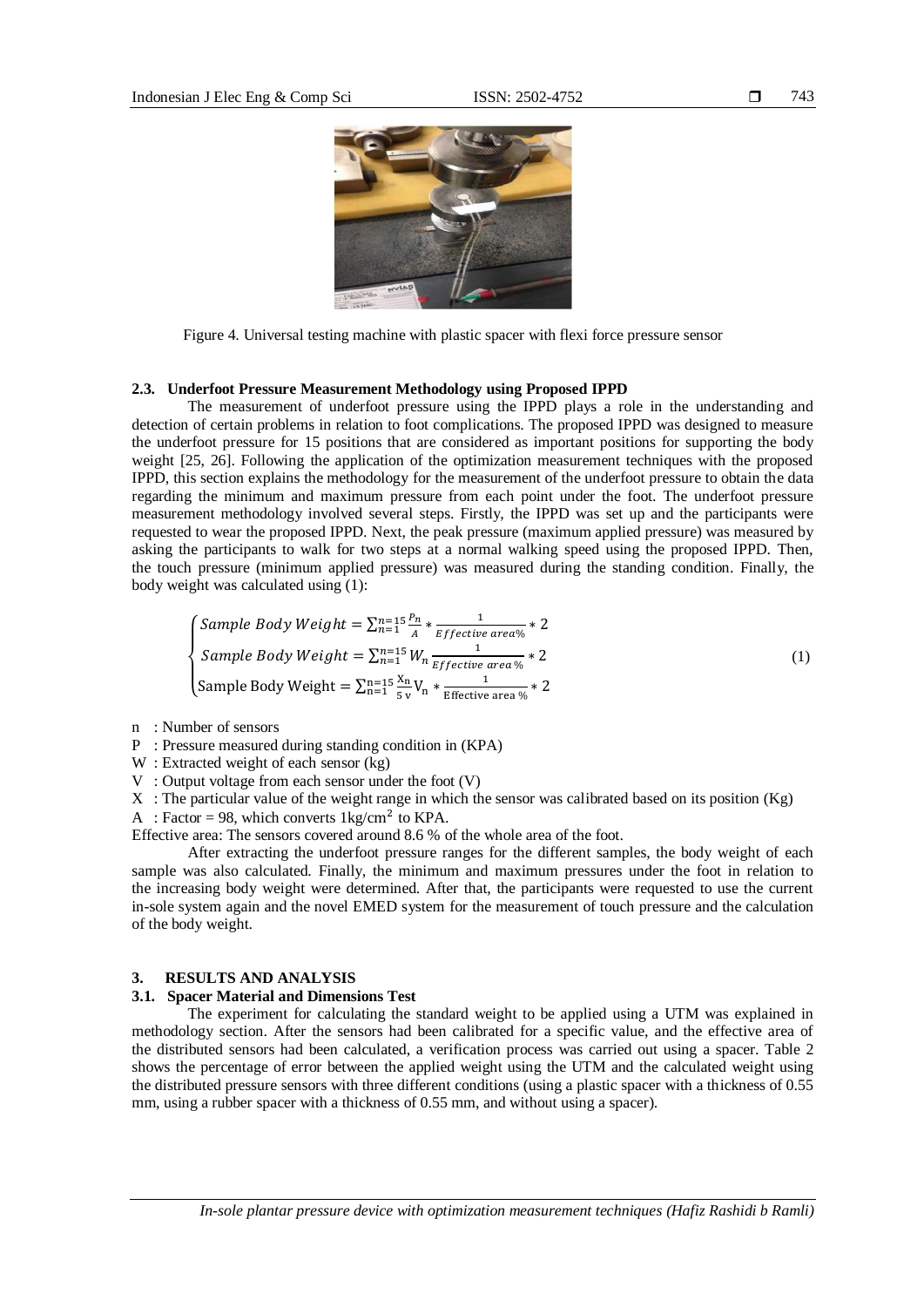

Figure 4. Universal testing machine with plastic spacer with flexi force pressure sensor

#### **2.3. Underfoot Pressure Measurement Methodology using Proposed IPPD**

The measurement of underfoot pressure using the IPPD plays a role in the understanding and detection of certain problems in relation to foot complications. The proposed IPPD was designed to measure the underfoot pressure for 15 positions that are considered as important positions for supporting the body weight [25, 26]. Following the application of the optimization measurement techniques with the proposed IPPD, this section explains the methodology for the measurement of the underfoot pressure to obtain the data regarding the minimum and maximum pressure from each point under the foot. The underfoot pressure measurement methodology involved several steps. Firstly, the IPPD was set up and the participants were requested to wear the proposed IPPD. Next, the peak pressure (maximum applied pressure) was measured by asking the participants to walk for two steps at a normal walking speed using the proposed IPPD. Then, the touch pressure (minimum applied pressure) was measured during the standing condition. Finally, the body weight was calculated using (1):

$$
\begin{cases}\n\text{Sample Body Weight} = \sum_{n=1}^{n=15} \frac{P_n}{A} * \frac{1}{\text{Effective area}\%} * 2 \\
\text{Sample Body Weight} = \sum_{n=1}^{n=15} W_n \frac{1}{\text{Effective area}\%} * 2 \\
\text{Sample Body Weight} = \sum_{n=1}^{n=15} \frac{X_n}{S_v} V_n * \frac{1}{\text{Effective area}\%} * 2\n\end{cases} \tag{1}
$$

- n : Number of sensors
- P : Pressure measured during standing condition in (KPA)
- W: Extracted weight of each sensor (kg)
- V : Output voltage from each sensor under the foot (V)
- X : The particular value of the weight range in which the sensor was calibrated based on its position (Kg)
- A : Factor = 98, which converts  $1 \text{kg/cm}^2$  to KPA.

Effective area: The sensors covered around 8.6 % of the whole area of the foot.

After extracting the underfoot pressure ranges for the different samples, the body weight of each sample was also calculated. Finally, the minimum and maximum pressures under the foot in relation to the increasing body weight were determined. After that, the participants were requested to use the current in-sole system again and the novel EMED system for the measurement of touch pressure and the calculation of the body weight.

#### **3. RESULTS AND ANALYSIS**

#### **3.1. Spacer Material and Dimensions Test**

The experiment for calculating the standard weight to be applied using a UTM was explained in methodology section. After the sensors had been calibrated for a specific value, and the effective area of the distributed sensors had been calculated, a verification process was carried out using a spacer. Table 2 shows the percentage of error between the applied weight using the UTM and the calculated weight using the distributed pressure sensors with three different conditions (using a plastic spacer with a thickness of 0.55 mm, using a rubber spacer with a thickness of 0.55 mm, and without using a spacer).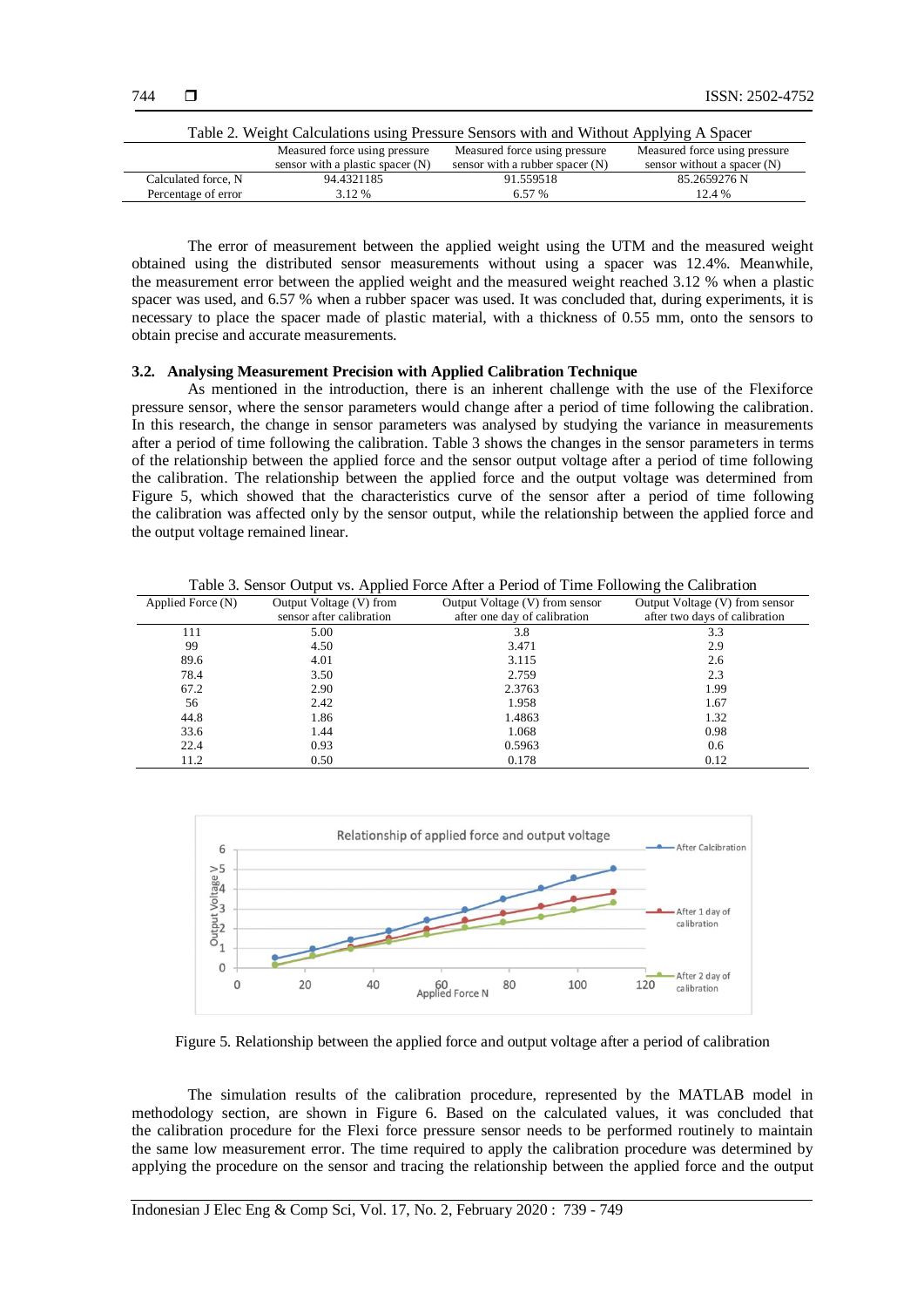| Table 2. Weight Calculations using Pressure Sensors with and Without Applying A Spacer          |                                  |                                   |                               |  |
|-------------------------------------------------------------------------------------------------|----------------------------------|-----------------------------------|-------------------------------|--|
| Measured force using pressure<br>Measured force using pressure<br>Measured force using pressure |                                  |                                   |                               |  |
|                                                                                                 | sensor with a plastic spacer (N) | sensor with a rubber spacer $(N)$ | sensor without a spacer $(N)$ |  |
| Calculated force, N                                                                             | 94.4321185                       | 91.559518                         | 85.2659276 N                  |  |
| Percentage of error                                                                             | 3.12 %                           | 6.57 %                            | 12.4 %                        |  |

The error of measurement between the applied weight using the UTM and the measured weight obtained using the distributed sensor measurements without using a spacer was 12.4%. Meanwhile, the measurement error between the applied weight and the measured weight reached 3.12 % when a plastic spacer was used, and 6.57 % when a rubber spacer was used. It was concluded that, during experiments, it is necessary to place the spacer made of plastic material, with a thickness of 0.55 mm, onto the sensors to obtain precise and accurate measurements.

### **3.2. Analysing Measurement Precision with Applied Calibration Technique**

As mentioned in the introduction, there is an inherent challenge with the use of the Flexiforce pressure sensor, where the sensor parameters would change after a period of time following the calibration. In this research, the change in sensor parameters was analysed by studying the variance in measurements after a period of time following the calibration. Table 3 shows the changes in the sensor parameters in terms of the relationship between the applied force and the sensor output voltage after a period of time following the calibration. The relationship between the applied force and the output voltage was determined from Figure 5, which showed that the characteristics curve of the sensor after a period of time following the calibration was affected only by the sensor output, while the relationship between the applied force and the output voltage remained linear.

Table 3. Sensor Output vs. Applied Force After a Period of Time Following the Calibration

|                          | Output Voltage (V) from sensor | Output Voltage (V) from sensor |
|--------------------------|--------------------------------|--------------------------------|
| sensor after calibration | after one day of calibration   | after two days of calibration  |
| 5.00                     | 3.8                            | 3.3                            |
| 4.50                     | 3.471                          | 2.9                            |
| 4.01                     | 3.115                          | 2.6                            |
| 3.50                     | 2.759                          | 2.3                            |
| 2.90                     | 2.3763                         | 1.99                           |
| 2.42                     | 1.958                          | 1.67                           |
| 1.86                     | 1.4863                         | 1.32                           |
| 1.44                     | 1.068                          | 0.98                           |
| 0.93                     | 0.5963                         | 0.6                            |
| 0.50                     | 0.178                          | 0.12                           |
|                          | Output Voltage (V) from        |                                |



Figure 5. Relationship between the applied force and output voltage after a period of calibration

The simulation results of the calibration procedure, represented by the MATLAB model in methodology section, are shown in Figure 6. Based on the calculated values, it was concluded that the calibration procedure for the Flexi force pressure sensor needs to be performed routinely to maintain the same low measurement error. The time required to apply the calibration procedure was determined by applying the procedure on the sensor and tracing the relationship between the applied force and the output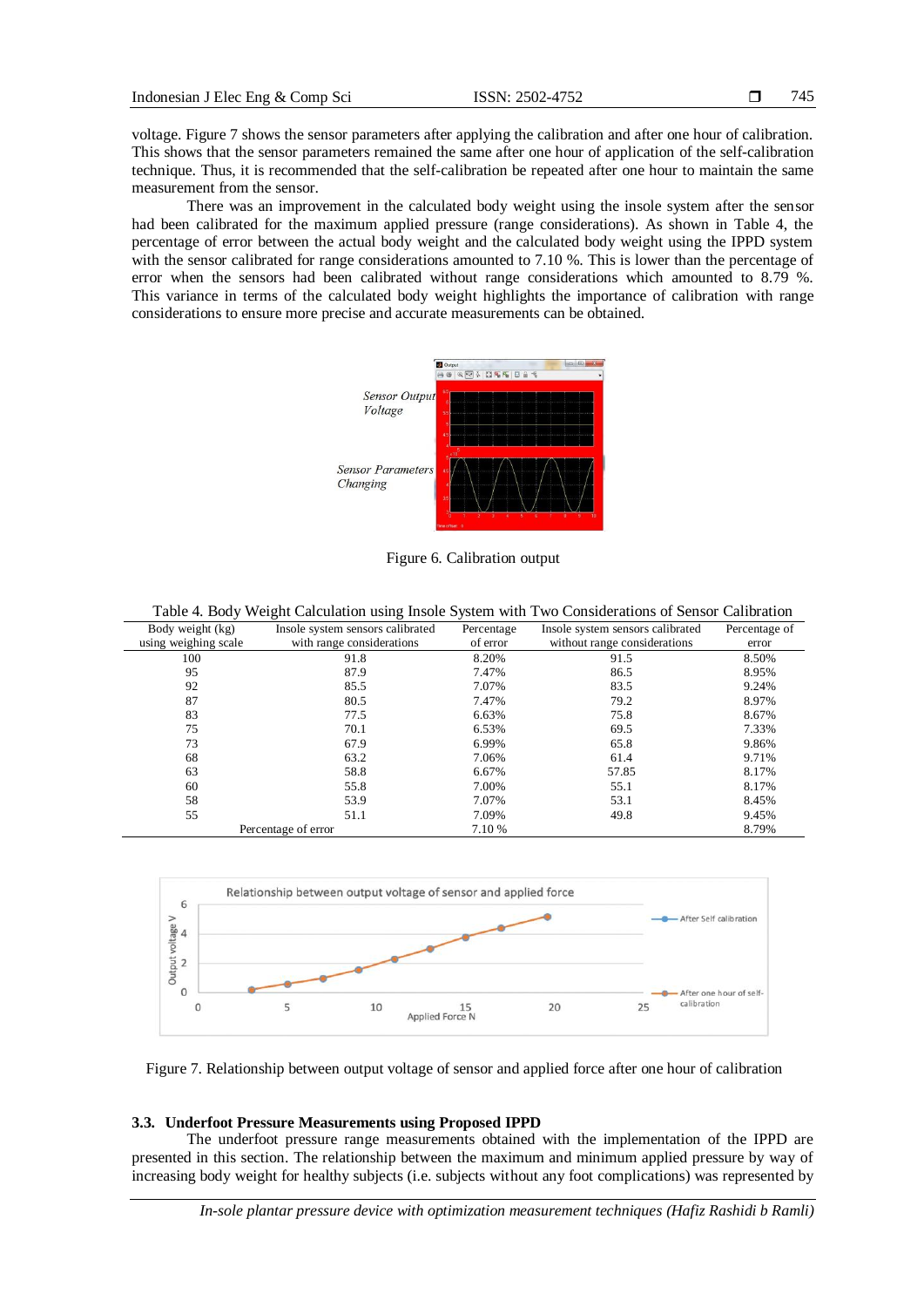745

voltage. Figure 7 shows the sensor parameters after applying the calibration and after one hour of calibration. This shows that the sensor parameters remained the same after one hour of application of the self-calibration technique. Thus, it is recommended that the self-calibration be repeated after one hour to maintain the same measurement from the sensor.

There was an improvement in the calculated body weight using the insole system after the sensor had been calibrated for the maximum applied pressure (range considerations). As shown in Table 4, the percentage of error between the actual body weight and the calculated body weight using the IPPD system with the sensor calibrated for range considerations amounted to 7.10 %. This is lower than the percentage of error when the sensors had been calibrated without range considerations which amounted to 8.79 %. This variance in terms of the calculated body weight highlights the importance of calibration with range considerations to ensure more precise and accurate measurements can be obtained.



Figure 6. Calibration output

Table 4. Body Weight Calculation using Insole System with Two Considerations of Sensor Calibration

| Body weight (kg)     | Insole system sensors calibrated | Insole system sensors calibrated<br>Percentage |       | Percentage of |
|----------------------|----------------------------------|------------------------------------------------|-------|---------------|
| using weighing scale | with range considerations        | without range considerations<br>of error       |       | error         |
| 100                  | 91.8                             | 8.20%                                          | 91.5  | 8.50%         |
| 95                   | 87.9                             | 7.47%                                          | 86.5  | 8.95%         |
| 92                   | 85.5                             | 7.07%                                          | 83.5  | 9.24%         |
| 87                   | 80.5                             | 7.47%                                          | 79.2  | 8.97%         |
| 83                   | 77.5                             | 6.63%                                          | 75.8  | 8.67%         |
| 75                   | 70.1                             | 6.53%                                          | 69.5  | 7.33%         |
| 73                   | 67.9                             | 6.99%                                          | 65.8  | 9.86%         |
| 68                   | 63.2                             | 7.06%                                          | 61.4  | 9.71%         |
| 63                   | 58.8                             | 6.67%                                          | 57.85 | 8.17%         |
| 60                   | 55.8                             | 7.00%                                          | 55.1  | 8.17%         |
| 58                   | 53.9                             | 7.07%                                          | 53.1  | 8.45%         |
| 55                   | 51.1                             | 7.09%                                          | 49.8  | 9.45%         |
|                      | Percentage of error              | 7.10 %                                         |       | 8.79%         |

Relationship between output voltage of sensor and applied force 6 Output voltage  $V$ After Self calibration  $\overline{0}$ After one hour calibration  $\circ$ 5 10 20 25 15<br>Applied Force N

Figure 7. Relationship between output voltage of sensor and applied force after one hour of calibration

#### **3.3. Underfoot Pressure Measurements using Proposed IPPD**

The underfoot pressure range measurements obtained with the implementation of the IPPD are presented in this section. The relationship between the maximum and minimum applied pressure by way of increasing body weight for healthy subjects (i.e. subjects without any foot complications) was represented by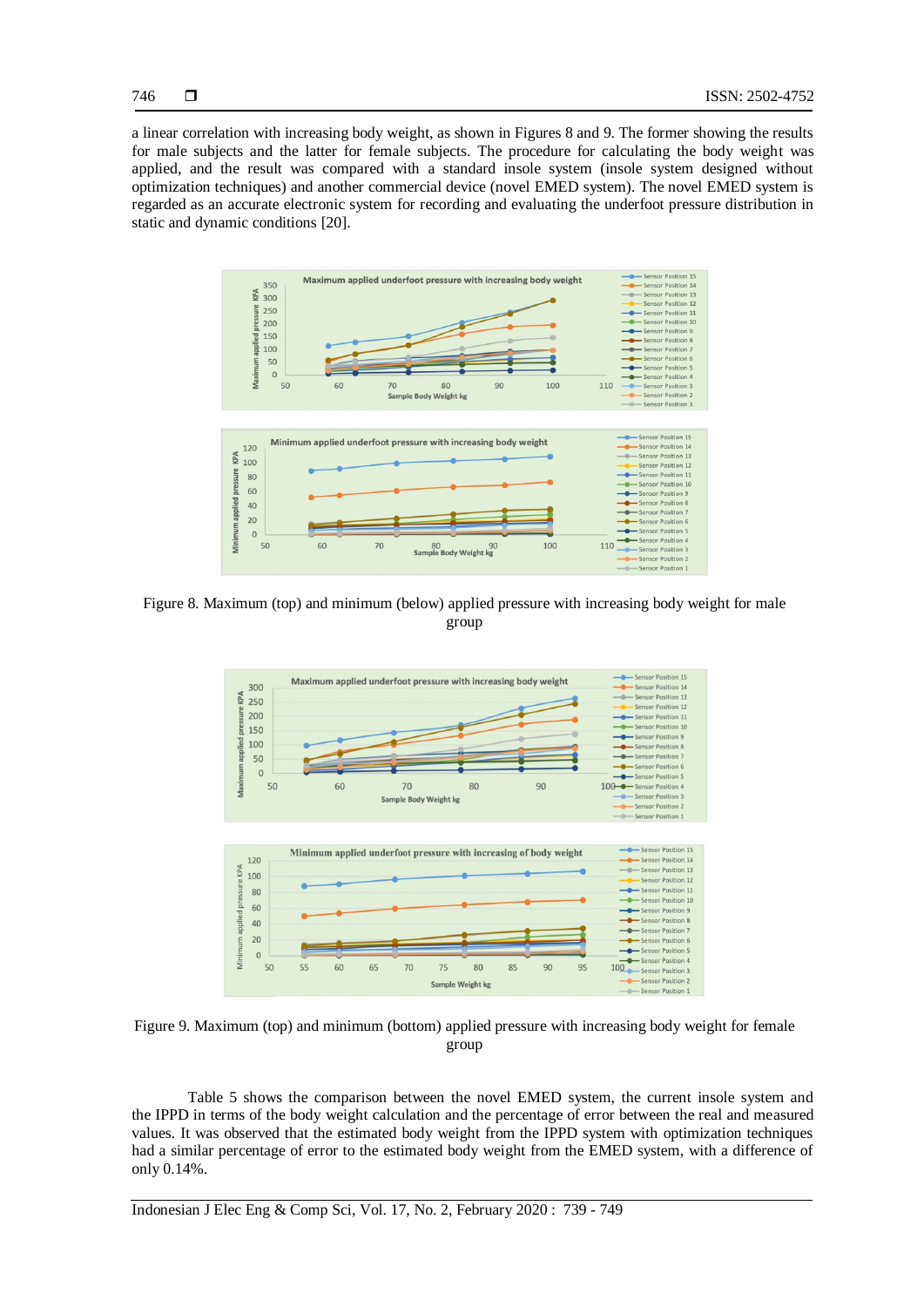746

a linear correlation with increasing body weight, as shown in Figures 8 and 9. The former showing the results for male subjects and the latter for female subjects. The procedure for calculating the body weight was applied, and the result was compared with a standard insole system (insole system designed without optimization techniques) and another commercial device (novel EMED system). The novel EMED system is regarded as an accurate electronic system for recording and evaluating the underfoot pressure distribution in static and dynamic conditions [20].



Figure 8. Maximum (top) and minimum (below) applied pressure with increasing body weight for male group



Figure 9. Maximum (top) and minimum (bottom) applied pressure with increasing body weight for female group

Table 5 shows the comparison between the novel EMED system, the current insole system and the IPPD in terms of the body weight calculation and the percentage of error between the real and measured values. It was observed that the estimated body weight from the IPPD system with optimization techniques had a similar percentage of error to the estimated body weight from the EMED system, with a difference of only 0.14%.

Indonesian J Elec Eng & Comp Sci, Vol. 17, No. 2, February 2020 : 739 - 749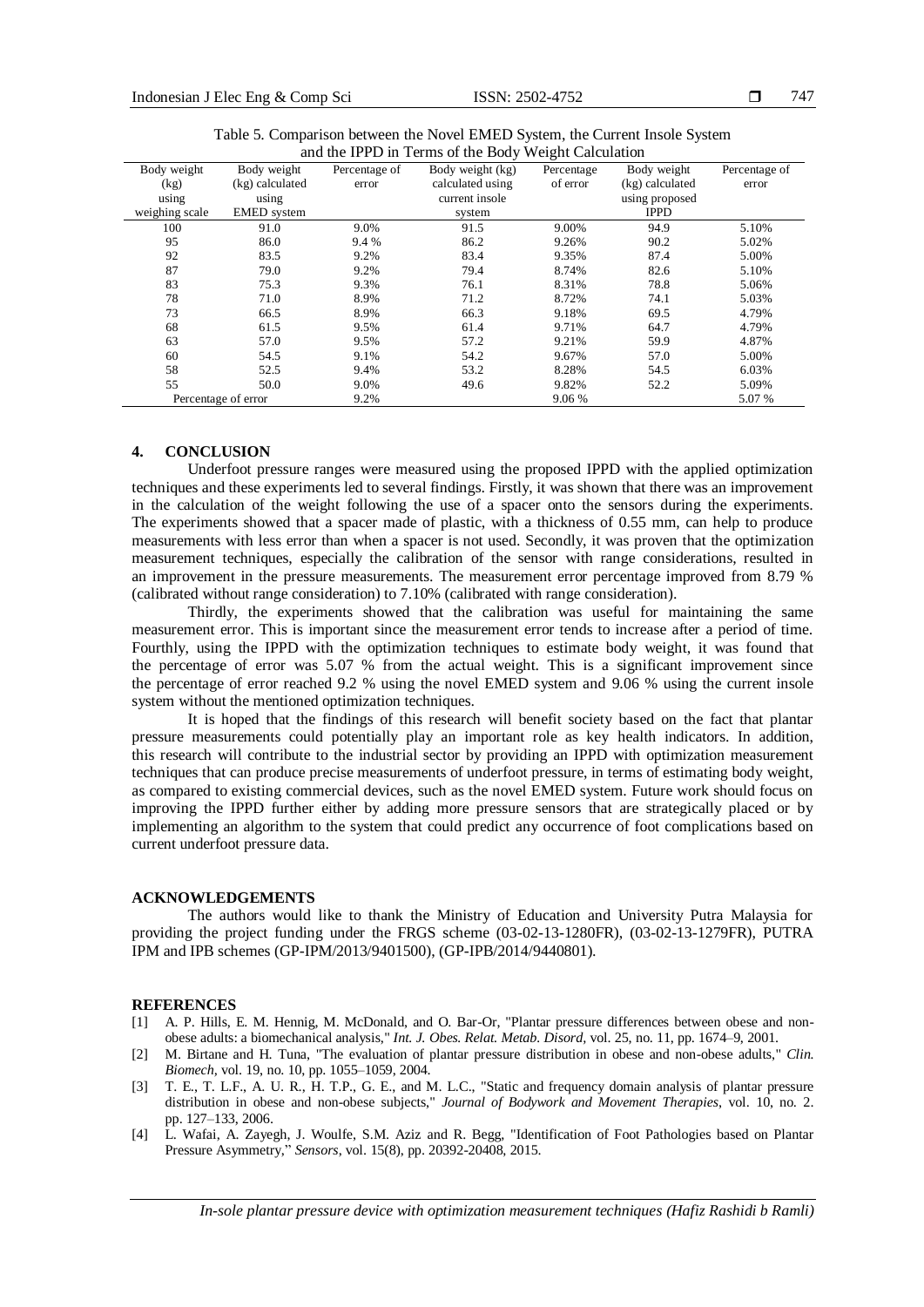| and the IPPD in Terms of the Body weight Calculation |                     |               |                  |            |                 |               |
|------------------------------------------------------|---------------------|---------------|------------------|------------|-----------------|---------------|
| Body weight                                          | Body weight         | Percentage of | Body weight (kg) | Percentage | Body weight     | Percentage of |
| (kg)                                                 | (kg) calculated     | error         | calculated using | of error   | (kg) calculated | error         |
| using                                                | using               |               | current insole   |            | using proposed  |               |
| weighing scale                                       | <b>EMED</b> system  |               | system           |            | <b>IPPD</b>     |               |
| 100                                                  | 91.0                | 9.0%          | 91.5             | 9.00%      | 94.9            | 5.10%         |
| 95                                                   | 86.0                | 9.4 %         | 86.2             | 9.26%      | 90.2            | 5.02%         |
| 92                                                   | 83.5                | 9.2%          | 83.4             | 9.35%      | 87.4            | 5.00%         |
| 87                                                   | 79.0                | 9.2%          | 79.4             | 8.74%      | 82.6            | 5.10%         |
| 83                                                   | 75.3                | 9.3%          | 76.1             | 8.31%      | 78.8            | 5.06%         |
| 78                                                   | 71.0                | 8.9%          | 71.2             | 8.72%      | 74.1            | 5.03%         |
| 73                                                   | 66.5                | 8.9%          | 66.3             | 9.18%      | 69.5            | 4.79%         |
| 68                                                   | 61.5                | 9.5%          | 61.4             | 9.71%      | 64.7            | 4.79%         |
| 63                                                   | 57.0                | 9.5%          | 57.2             | 9.21%      | 59.9            | 4.87%         |
| 60                                                   | 54.5                | 9.1%          | 54.2             | 9.67%      | 57.0            | 5.00%         |
| 58                                                   | 52.5                | 9.4%          | 53.2             | 8.28%      | 54.5            | 6.03%         |
| 55                                                   | 50.0                | 9.0%          | 49.6             | 9.82%      | 52.2            | 5.09%         |
|                                                      | Percentage of error | 9.2%          |                  | 9.06 %     |                 | 5.07 %        |

Table 5. Comparison between the Novel EMED System, the Current Insole System<br>and the IBBD in Terms of the Body Weight Coloulation and the IPPD in Terms of the Body Weight Calculation

#### **4. CONCLUSION**

Underfoot pressure ranges were measured using the proposed IPPD with the applied optimization techniques and these experiments led to several findings. Firstly, it was shown that there was an improvement in the calculation of the weight following the use of a spacer onto the sensors during the experiments. The experiments showed that a spacer made of plastic, with a thickness of 0.55 mm, can help to produce measurements with less error than when a spacer is not used. Secondly, it was proven that the optimization measurement techniques, especially the calibration of the sensor with range considerations, resulted in an improvement in the pressure measurements. The measurement error percentage improved from 8.79 % (calibrated without range consideration) to 7.10% (calibrated with range consideration).

Thirdly, the experiments showed that the calibration was useful for maintaining the same measurement error. This is important since the measurement error tends to increase after a period of time. Fourthly, using the IPPD with the optimization techniques to estimate body weight, it was found that the percentage of error was 5.07 % from the actual weight. This is a significant improvement since the percentage of error reached 9.2 % using the novel EMED system and 9.06 % using the current insole system without the mentioned optimization techniques.

It is hoped that the findings of this research will benefit society based on the fact that plantar pressure measurements could potentially play an important role as key health indicators. In addition, this research will contribute to the industrial sector by providing an IPPD with optimization measurement techniques that can produce precise measurements of underfoot pressure, in terms of estimating body weight, as compared to existing commercial devices, such as the novel EMED system. Future work should focus on improving the IPPD further either by adding more pressure sensors that are strategically placed or by implementing an algorithm to the system that could predict any occurrence of foot complications based on current underfoot pressure data.

#### **ACKNOWLEDGEMENTS**

The authors would like to thank the Ministry of Education and University Putra Malaysia for providing the project funding under the FRGS scheme (03-02-13-1280FR), (03-02-13-1279FR), PUTRA IPM and IPB schemes (GP-IPM/2013/9401500), (GP-IPB/2014/9440801).

#### **REFERENCES**

- [1] A. P. Hills, E. M. Hennig, M. McDonald, and O. Bar-Or, "Plantar pressure differences between obese and nonobese adults: a biomechanical analysis," *Int. J. Obes. Relat. Metab. Disord,* vol. 25, no. 11, pp. 1674–9, 2001.
- [2] M. Birtane and H. Tuna, "The evaluation of plantar pressure distribution in obese and non-obese adults," *Clin. Biomech,* vol. 19, no. 10, pp. 1055–1059, 2004.
- [3] T. E., T. L.F., A. U. R., H. T.P., G. E., and M. L.C., "Static and frequency domain analysis of plantar pressure distribution in obese and non-obese subjects," *Journal of Bodywork and Movement Therapies*, vol. 10, no. 2. pp. 127–133, 2006.
- [4] L. Wafai, A. Zayegh, J. Woulfe, S.M. Aziz and R. Begg, "Identification of Foot Pathologies based on Plantar Pressure Asymmetry," *Sensors*, vol. 15(8), pp. 20392-20408, 2015.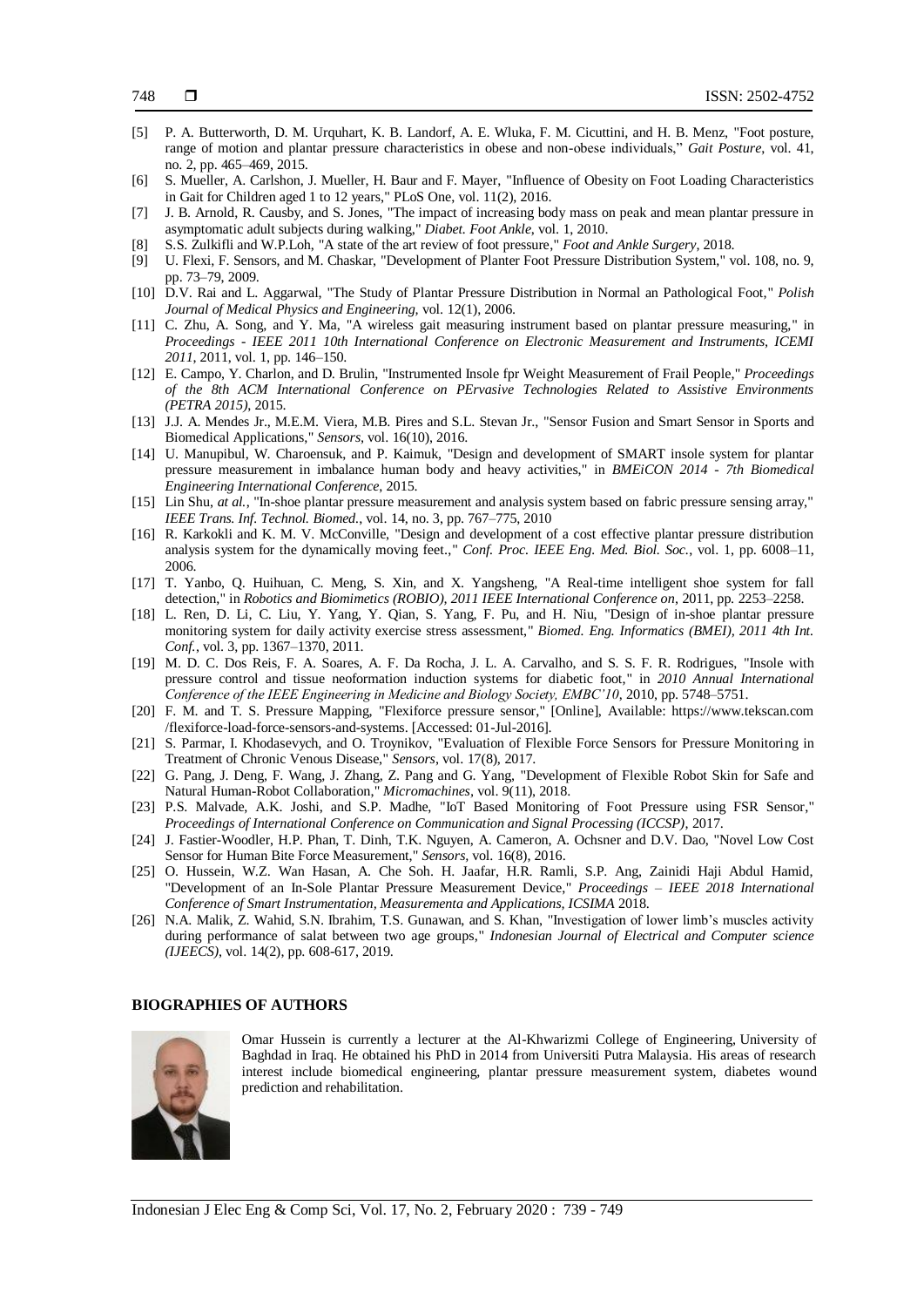- [5] P. A. Butterworth, D. M. Urquhart, K. B. Landorf, A. E. Wluka, F. M. Cicuttini, and H. B. Menz, "Foot posture, range of motion and plantar pressure characteristics in obese and non-obese individuals," *Gait Posture*, vol. 41, no. 2, pp. 465–469, 2015.
- [6] S. Mueller, A. Carlshon, J. Mueller, H. Baur and F. Mayer, "Influence of Obesity on Foot Loading Characteristics in Gait for Children aged 1 to 12 years," PLoS One, vol. 11(2), 2016.
- [7] J. B. Arnold, R. Causby, and S. Jones, "The impact of increasing body mass on peak and mean plantar pressure in asymptomatic adult subjects during walking," *Diabet. Foot Ankle*, vol. 1, 2010.
- [8] S.S. Zulkifli and W.P.Loh, "A state of the art review of foot pressure," *Foot and Ankle Surgery*, 2018.
- [9] U. Flexi, F. Sensors, and M. Chaskar, "Development of Planter Foot Pressure Distribution System," vol. 108, no. 9, pp. 73–79, 2009.
- [10] D.V. Rai and L. Aggarwal, "The Study of Plantar Pressure Distribution in Normal an Pathological Foot," *Polish Journal of Medical Physics and Engineering,* vol. 12(1), 2006.
- [11] C. Zhu, A. Song, and Y. Ma, "A wireless gait measuring instrument based on plantar pressure measuring," in *Proceedings - IEEE 2011 10th International Conference on Electronic Measurement and Instruments, ICEMI 2011*, 2011, vol. 1, pp. 146–150.
- [12] E. Campo, Y. Charlon, and D. Brulin, "Instrumented Insole fpr Weight Measurement of Frail People," *Proceedings of the 8th ACM International Conference on PErvasive Technologies Related to Assistive Environments (PETRA 2015)*, 2015.
- [13] J.J. A. Mendes Jr., M.E.M. Viera, M.B. Pires and S.L. Stevan Jr., "Sensor Fusion and Smart Sensor in Sports and Biomedical Applications," *Sensors,* vol. 16(10), 2016.
- [14] U. Manupibul, W. Charoensuk, and P. Kaimuk, "Design and development of SMART insole system for plantar pressure measurement in imbalance human body and heavy activities," in *BMEiCON 2014 - 7th Biomedical Engineering International Conference*, 2015.
- [15] Lin Shu, *at al.*, "In-shoe plantar pressure measurement and analysis system based on fabric pressure sensing array," *IEEE Trans. Inf. Technol. Biomed.*, vol. 14, no. 3, pp. 767–775, 2010
- [16] R. Karkokli and K. M. V. McConville, "Design and development of a cost effective plantar pressure distribution analysis system for the dynamically moving feet.," *Conf. Proc. IEEE Eng. Med. Biol. Soc.*, vol. 1, pp. 6008–11, 2006.
- [17] T. Yanbo, Q. Huihuan, C. Meng, S. Xin, and X. Yangsheng, "A Real-time intelligent shoe system for fall detection," in *Robotics and Biomimetics (ROBIO), 2011 IEEE International Conference on*, 2011, pp. 2253–2258.
- [18] L. Ren, D. Li, C. Liu, Y. Yang, Y. Qian, S. Yang, F. Pu, and H. Niu, "Design of in-shoe plantar pressure monitoring system for daily activity exercise stress assessment," *Biomed. Eng. Informatics (BMEI), 2011 4th Int. Conf.*, vol. 3, pp. 1367–1370, 2011.
- [19] M. D. C. Dos Reis, F. A. Soares, A. F. Da Rocha, J. L. A. Carvalho, and S. S. F. R. Rodrigues, "Insole with pressure control and tissue neoformation induction systems for diabetic foot," in *2010 Annual International Conference of the IEEE Engineering in Medicine and Biology Society, EMBC'10*, 2010, pp. 5748–5751.
- [20] F. M. and T. S. Pressure Mapping, "Flexiforce pressure sensor," [Online], Available: [https://www.tekscan.com](https://www.tekscan.com/) /flexiforce-load-force-sensors-and-systems. [Accessed: 01-Jul-2016].
- [21] S. Parmar, I. Khodasevych, and O. Troynikov, "Evaluation of Flexible Force Sensors for Pressure Monitoring in Treatment of Chronic Venous Disease," *Sensors*, vol. 17(8), 2017.
- [22] G. Pang, J. Deng, F. Wang, J. Zhang, Z. Pang and G. Yang, "Development of Flexible Robot Skin for Safe and Natural Human-Robot Collaboration," *Micromachines,* vol. 9(11), 2018.
- [23] P.S. Malvade, A.K. Joshi, and S.P. Madhe, "IoT Based Monitoring of Foot Pressure using FSR Sensor," *Proceedings of International Conference on Communication and Signal Processing (ICCSP)*, 2017.
- [24] J. Fastier-Woodler, H.P. Phan, T. Dinh, T.K. Nguyen, A. Cameron, A. Ochsner and D.V. Dao, "Novel Low Cost Sensor for Human Bite Force Measurement," *Sensors,* vol. 16(8), 2016.
- [25] O. Hussein, W.Z. Wan Hasan, A. Che Soh. H. Jaafar, H.R. Ramli, S.P. Ang, Zainidi Haji Abdul Hamid, "Development of an In-Sole Plantar Pressure Measurement Device," *Proceedings – IEEE 2018 International Conference of Smart Instrumentation, Measurementa and Applications, ICSIMA* 2018.
- [26] N.A. Malik, Z. Wahid, S.N. Ibrahim, T.S. Gunawan, and S. Khan, "Investigation of lower limb's muscles activity during performance of salat between two age groups," *Indonesian Journal of Electrical and Computer science (IJEECS)*, vol. 14(2), pp. 608-617, 2019.

#### **BIOGRAPHIES OF AUTHORS**



Omar Hussein is currently a lecturer at the Al-Khwarizmi College of Engineering, University of Baghdad in Iraq. He obtained his PhD in 2014 from Universiti Putra Malaysia. His areas of research interest include biomedical engineering, plantar pressure measurement system, diabetes wound prediction and rehabilitation.